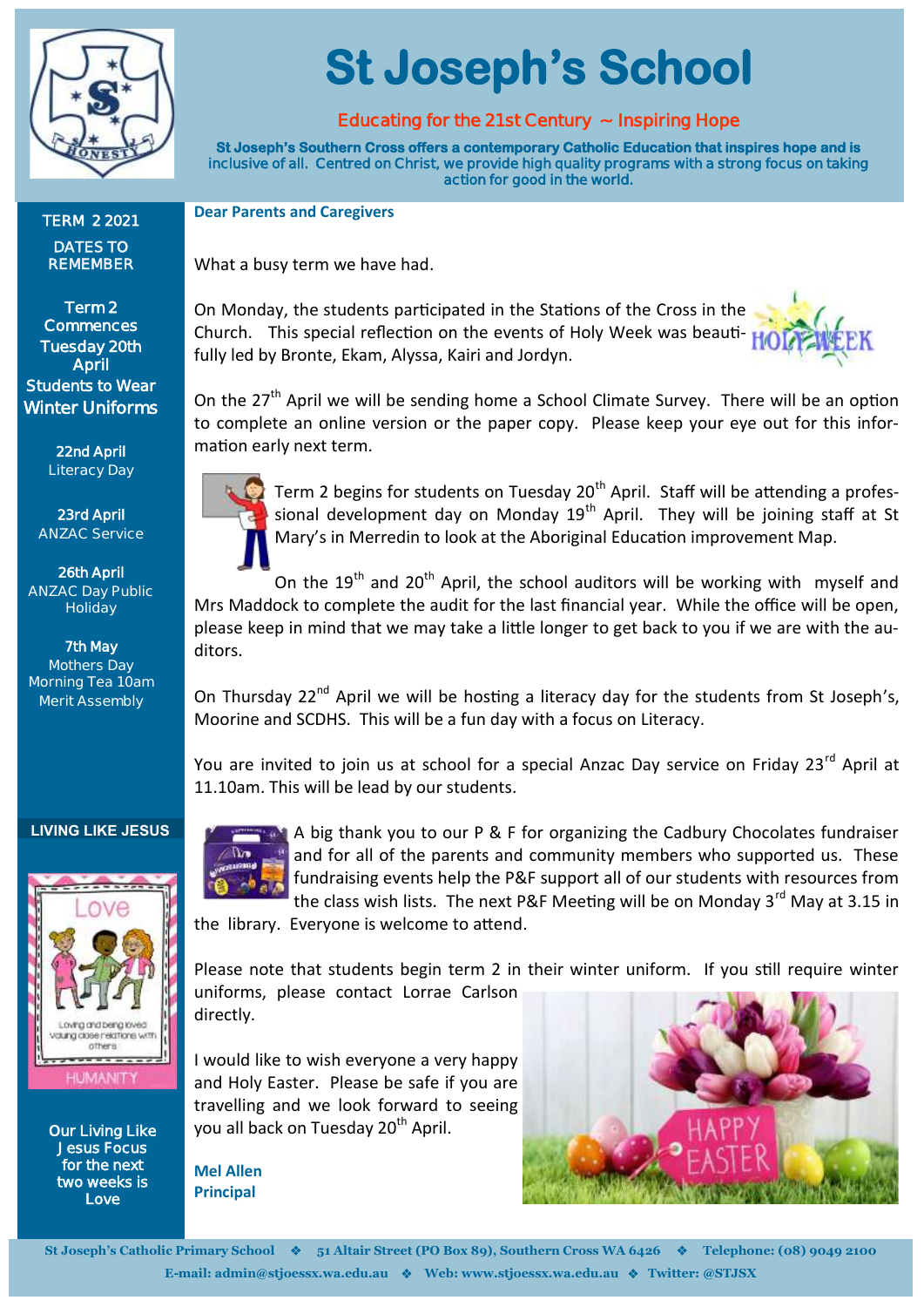

**TERM 2 2021 DATES TO REMEMBER**

**Term 2 Commences Tuesday 20th April Students to Wear Winter Uniforms** 

> **22nd April Literacy Day**

**St Joseph's School** 

#### **Educating for the 21st Century ~ Inspiring Hope**

**St Joseph's Southern Cross offers a contemporary Catholic Education that inspires hope and is inclusive of all. Centred on Christ, we provide high quality programs with a strong focus on taking action for good in the world.** 

**Dear Parents and Caregivers**

What a busy term we have had.

On Monday, the students participated in the Stations of the Cross in the Church. This special reflection on the events of Holy Week was beauti- $H_0$ fully led by Bronte, Ekam, Alyssa, Kairi and Jordyn.

On the 27<sup>th</sup> April we will be sending home a School Climate Survey. There will be an option to complete an online version or the paper copy. Please keep your eye out for this information early next term.

**23rd April ANZAC Service**

**26th April ANZAC Day Public Holiday**

**7th May Mothers Day Morning Tea 10am Merit Assembly**



Term 2 begins for students on Tuesday 20<sup>th</sup> April. Staff will be attending a professional development day on Monday 19<sup>th</sup> April. They will be joining staff at St Mary's in Merredin to look at the Aboriginal Education improvement Map.

On the  $19<sup>th</sup>$  and  $20<sup>th</sup>$  April, the school auditors will be working with myself and Mrs Maddock to complete the audit for the last financial year. While the office will be open, please keep in mind that we may take a little longer to get back to you if we are with the auditors.

On Thursday  $22^{nd}$  April we will be hosting a literacy day for the students from St Joseph's, Moorine and SCDHS. This will be a fun day with a focus on Literacy.

You are invited to join us at school for a special Anzac Day service on Friday 23<sup>rd</sup> April at 11.10am. This will be lead by our students.

#### **LIVING LIKE JESUS**



**Our Living Like Jesus Focus for the next two weeks is Love** 



A big thank you to our P & F for organizing the Cadbury Chocolates fundraiser and for all of the parents and community members who supported us. These fundraising events help the P&F support all of our students with resources from the class wish lists. The next P&F Meeting will be on Monday 3<sup>rd</sup> May at 3.15 in

the library. Everyone is welcome to attend.

Please note that students begin term 2 in their winter uniform. If you still require winter uniforms, please contact Lorrae Carlson directly.

I would like to wish everyone a very happy and Holy Easter. Please be safe if you are travelling and we look forward to seeing you all back on Tuesday 20<sup>th</sup> April.

**Mel Allen Principal**



**St Joseph's Catholic Primary School** ❖ **51 Altair Street (PO Box 89), Southern Cross WA 6426** ❖ **Telephone: (08) 9049 2100 E-mail: admin@stjoessx.wa.edu.au** ❖ **Web: www.stjoessx.wa.edu.au** ❖ **Twitter: @STJSX**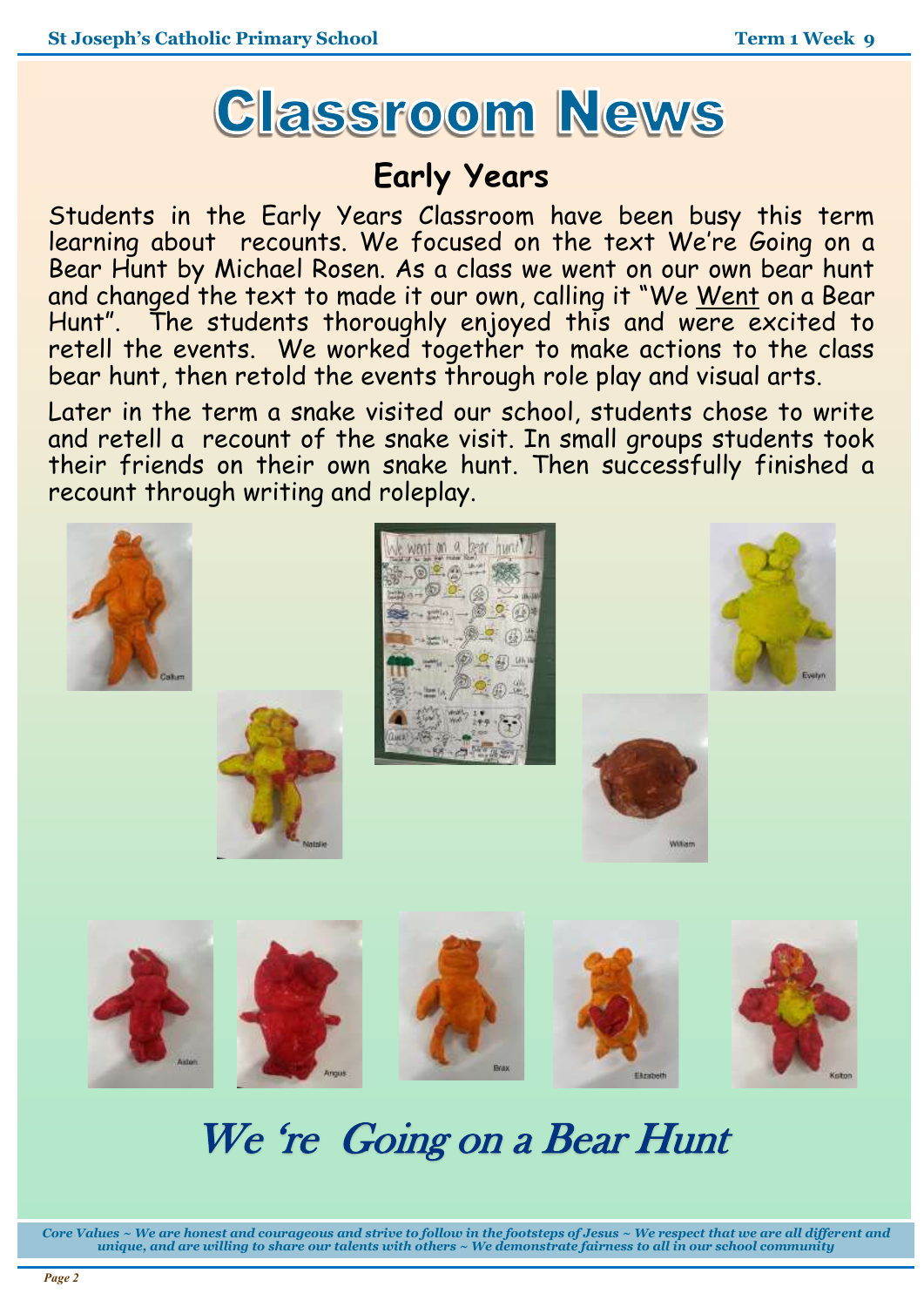

# **Early Years**

Students in the Early Years Classroom have been busy this term learning about recounts. We focused on the text We're Going on a Bear Hunt by Michael Rosen. As a class we went on our own bear hunt and changed the text to made it our own, calling it "We Went on a Bear Hunt". The students thoroughly enjoyed this and were excited to retell the events. We worked together to make actions to the class bear hunt, then retold the events through role play and visual arts.

Later in the term a snake visited our school, students chose to write and retell a recount of the snake visit. In small groups students took their friends on their own snake hunt. Then successfully finished a recount through writing and roleplay.



# We 're Going on a Bear Hunt

*Core Values ~ We are honest and courageous and strive to follow in the footsteps of Jesus ~ We respect that we are all different and unique, and are willing to share our talents with others ~ We demonstrate fairness to all in our school community*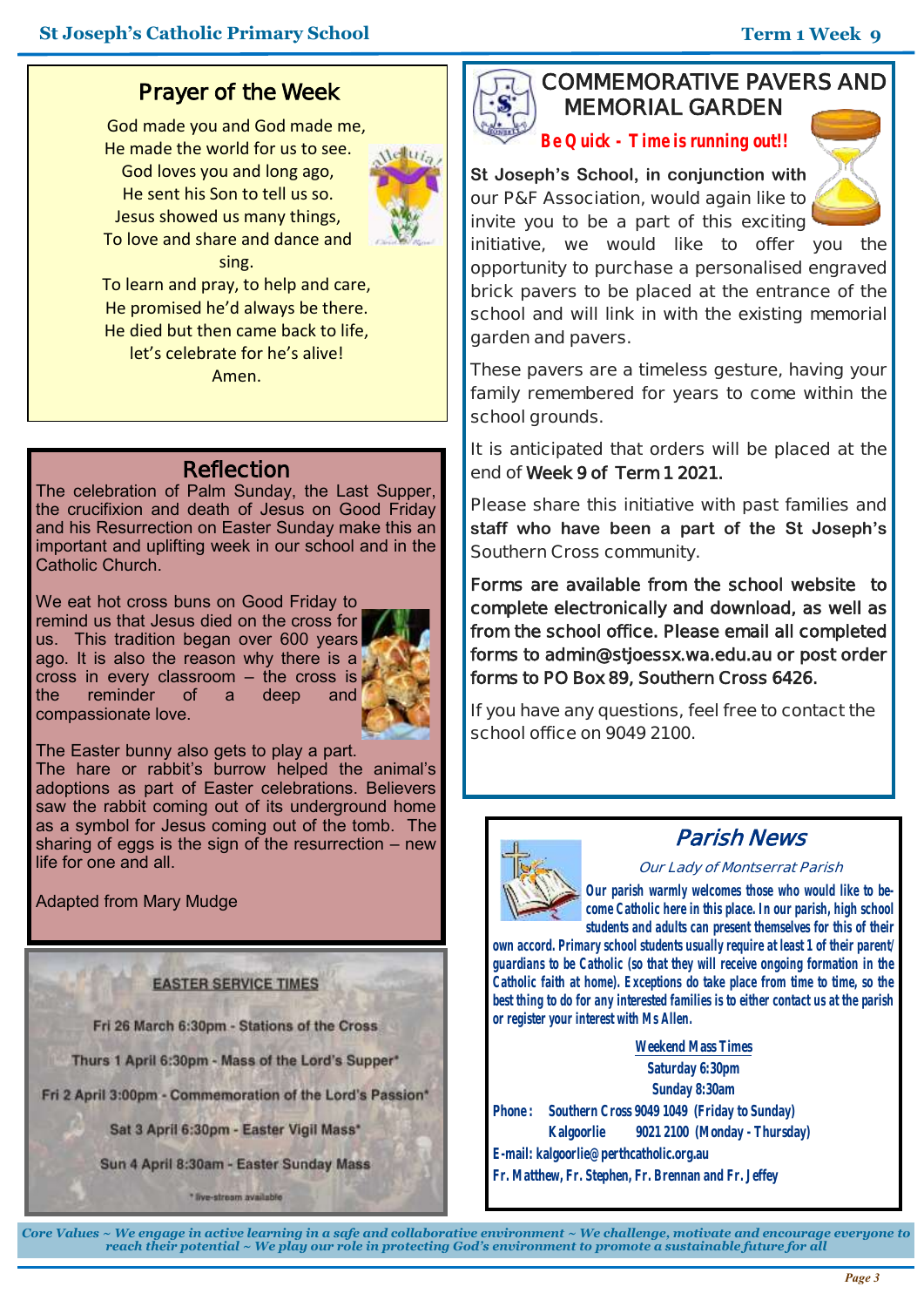## **Prayer of the Week**

God made you and God made me, He made the world for us to see. God loves you and long ago, He sent his Son to tell us so. Jesus showed us many things, To love and share and dance and sing. To learn and pray, to help and care,



## He promised he'd always be there. He died but then came back to life, let's celebrate for he's alive! Amen.

## **Reflection**

The celebration of Palm Sunday, the Last Supper, the crucifixion and death of Jesus on Good Friday and his Resurrection on Easter Sunday make this an important and uplifting week in our school and in the Catholic Church.

We eat hot cross buns on Good Friday to remind us that Jesus died on the cross for us. This tradition began over 600 years ago. It is also the reason why there is a  $\frac{1}{2}$  cross in every classroom – the cross is  $\frac{1}{2}$ <br>the seminder of a deep and the reminder of a deep and compassionate love.



The Easter bunny also gets to play a part.

The hare or rabbit's burrow helped the animal's adoptions as part of Easter celebrations. Believers saw the rabbit coming out of its underground home as a symbol for Jesus coming out of the tomb. The sharing of eggs is the sign of the resurrection – new life for one and all.

Adapted from Mary Mudge

#### **EASTER SERVICE TIMES**

Fri 26 March 6:30pm - Stations of the Cross

Thurs 1 April 6:30pm - Mass of the Lord's Supper\*

Fri 2 April 3:00pm - Commemoration of the Lord's Passion\*

Sat 3 April 6:30pm - Easter Vigil Mass\*

Sun 4 April 8:30am - Easter Sunday Mass

\* live-stream available

### **COMMEMORATIVE PAVERS AND MEMORIAL GARDEN**

*Be Quick - Time is running out!!*

**St Joseph's School, in conjunction with our P&F Association, would again like to invite you to be a part of this exciting** 



**initiative, we would like to offer you the opportunity to purchase a personalised engraved brick pavers to be placed at the entrance of the school and will link in with the existing memorial garden and pavers.**

**These pavers are a timeless gesture, having your family remembered for years to come within the school grounds.**

**It is anticipated that orders will be placed at the end of Week 9 of Term 1 2021.** 

**Please share this initiative with past families and staff who have been a part of the St Joseph's Southern Cross community.** 

**Forms are available from the school website to complete electronically and download, as well as from the school office. Please email all completed forms to admin@stjoessx.wa.edu.au or post order forms to PO Box 89, Southern Cross 6426.** 

**If you have any questions, feel free to contact the school office on 9049 2100.**



## **Parish News**

**Our Lady of Montserrat Parish**

*Our parish warmly welcomes those who would like to become Catholic here in this place. In our parish, high school students and adults can present themselves for this of their* 

*own accord. Primary school students usually require at least 1 of their parent/ guardians to be Catholic (so that they will receive ongoing formation in the Catholic faith at home). Exceptions do take place from time to time, so the best thing to do for any interested families is to either contact us at the parish or register your interest with Ms Allen.*

**Weekend Mass Times Saturday 6:30pm Sunday 8:30am Phone : Southern Cross 9049 1049 (Friday to Sunday) Kalgoorlie 9021 2100 (Monday - Thursday) E-mail: kalgoorlie@perthcatholic.org.au Fr. Matthew, Fr. Stephen, Fr. Brennan and Fr. Jeffey**

*Core Values ~ We engage in active learning in a safe and collaborative environment ~ We challenge, motivate and encourage everyone to reach their potential ~ We play our role in protecting God's environment to promote a sustainable future for all*